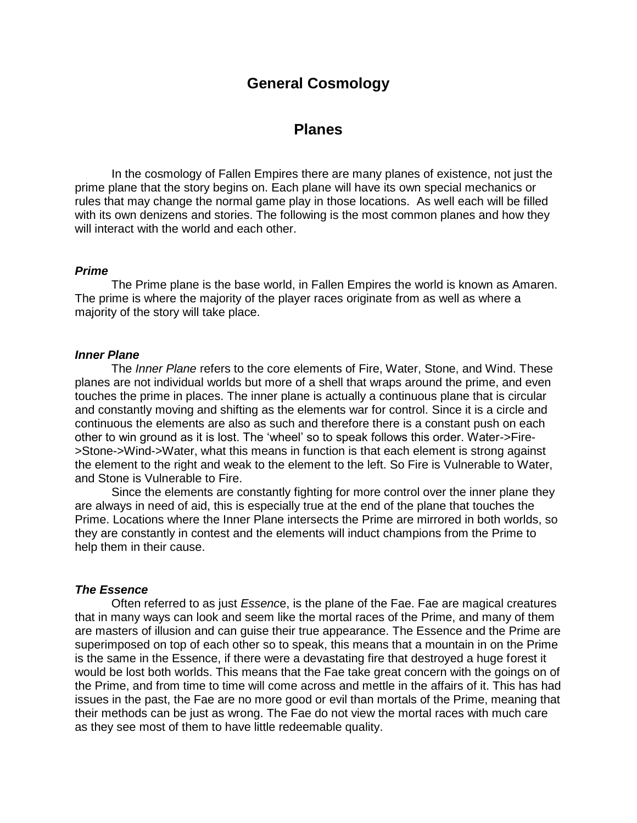# **General Cosmology**

## **Planes**

 In the cosmology of Fallen Empires there are many planes of existence, not just the prime plane that the story begins on. Each plane will have its own special mechanics or rules that may change the normal game play in those locations. As well each will be filled with its own denizens and stories. The following is the most common planes and how they will interact with the world and each other.

#### *Prime*

 The Prime plane is the base world, in Fallen Empires the world is known as Amaren. The prime is where the majority of the player races originate from as well as where a majority of the story will take place.

#### *Inner Plane*

 The *Inner Plane* refers to the core elements of Fire, Water, Stone, and Wind. These planes are not individual worlds but more of a shell that wraps around the prime, and even touches the prime in places. The inner plane is actually a continuous plane that is circular and constantly moving and shifting as the elements war for control. Since it is a circle and continuous the elements are also as such and therefore there is a constant push on each other to win ground as it is lost. The 'wheel' so to speak follows this order. Water->Fire- >Stone->Wind->Water, what this means in function is that each element is strong against the element to the right and weak to the element to the left. So Fire is Vulnerable to Water, and Stone is Vulnerable to Fire.

 Since the elements are constantly fighting for more control over the inner plane they are always in need of aid, this is especially true at the end of the plane that touches the Prime. Locations where the Inner Plane intersects the Prime are mirrored in both worlds, so they are constantly in contest and the elements will induct champions from the Prime to help them in their cause.

#### *The Essence*

 Often referred to as just *Essenc*e, is the plane of the Fae. Fae are magical creatures that in many ways can look and seem like the mortal races of the Prime, and many of them are masters of illusion and can guise their true appearance. The Essence and the Prime are superimposed on top of each other so to speak, this means that a mountain in on the Prime is the same in the Essence, if there were a devastating fire that destroyed a huge forest it would be lost both worlds. This means that the Fae take great concern with the goings on of the Prime, and from time to time will come across and mettle in the affairs of it. This has had issues in the past, the Fae are no more good or evil than mortals of the Prime, meaning that their methods can be just as wrong. The Fae do not view the mortal races with much care as they see most of them to have little redeemable quality.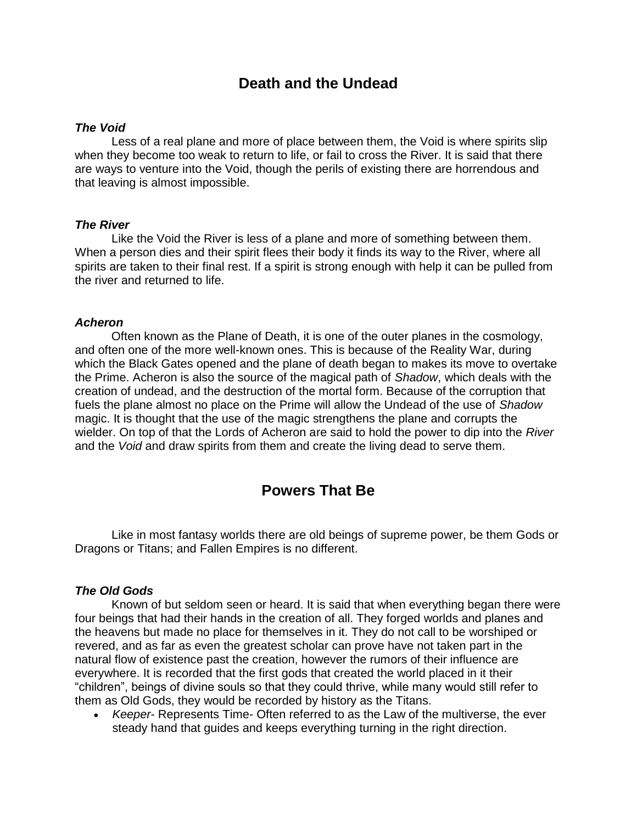# **Death and the Undead**

#### *The Void*

 Less of a real plane and more of place between them, the Void is where spirits slip when they become too weak to return to life, or fail to cross the River. It is said that there are ways to venture into the Void, though the perils of existing there are horrendous and that leaving is almost impossible.

#### *The River*

 Like the Void the River is less of a plane and more of something between them. When a person dies and their spirit flees their body it finds its way to the River, where all spirits are taken to their final rest. If a spirit is strong enough with help it can be pulled from the river and returned to life.

#### *Acheron*

 Often known as the Plane of Death, it is one of the outer planes in the cosmology, and often one of the more well-known ones. This is because of the Reality War, during which the Black Gates opened and the plane of death began to makes its move to overtake the Prime. Acheron is also the source of the magical path of *Shadow*, which deals with the creation of undead, and the destruction of the mortal form. Because of the corruption that fuels the plane almost no place on the Prime will allow the Undead of the use of *Shadow* magic. It is thought that the use of the magic strengthens the plane and corrupts the wielder. On top of that the Lords of Acheron are said to hold the power to dip into the *River*  and the *Void* and draw spirits from them and create the living dead to serve them.

## **Powers That Be**

 Like in most fantasy worlds there are old beings of supreme power, be them Gods or Dragons or Titans; and Fallen Empires is no different.

### *The Old Gods*

 Known of but seldom seen or heard. It is said that when everything began there were four beings that had their hands in the creation of all. They forged worlds and planes and the heavens but made no place for themselves in it. They do not call to be worshiped or revered, and as far as even the greatest scholar can prove have not taken part in the natural flow of existence past the creation, however the rumors of their influence are everywhere. It is recorded that the first gods that created the world placed in it their "children", beings of divine souls so that they could thrive, while many would still refer to them as Old Gods, they would be recorded by history as the Titans.

 *Keeper*- Represents Time- Often referred to as the Law of the multiverse, the ever steady hand that guides and keeps everything turning in the right direction.